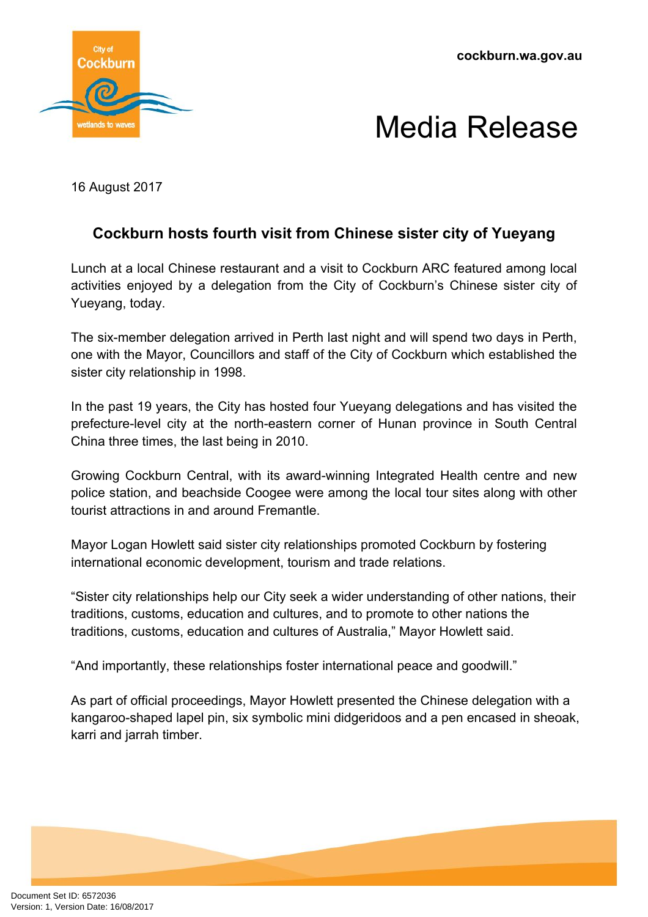**cockburn.wa.gov.au**



## Media Release

16 August 2017

## **Cockburn hosts fourth visit from Chinese sister city of Yueyang**

Lunch at a local Chinese restaurant and a visit to Cockburn ARC featured among local activities enjoyed by a delegation from the City of Cockburn's Chinese sister city of Yueyang, today.

The six-member delegation arrived in Perth last night and will spend two days in Perth, one with the Mayor, Councillors and staff of the City of Cockburn which established the sister city relationship in 1998.

In the past 19 years, the City has hosted four Yueyang delegations and has visited the prefecture-level city at the north-eastern corner of Hunan province in South Central China three times, the last being in 2010.

Growing Cockburn Central, with its award-winning Integrated Health centre and new police station, and beachside Coogee were among the local tour sites along with other tourist attractions in and around Fremantle.

Mayor Logan Howlett said sister city relationships promoted Cockburn by fostering international economic development, tourism and trade relations.

"Sister city relationships help our City seek a wider understanding of other nations, their traditions, customs, education and cultures, and to promote to other nations the traditions, customs, education and cultures of Australia," Mayor Howlett said.

"And importantly, these relationships foster international peace and goodwill."

As part of official proceedings, Mayor Howlett presented the Chinese delegation with a kangaroo-shaped lapel pin, six symbolic mini didgeridoos and a pen encased in sheoak, karri and jarrah timber.